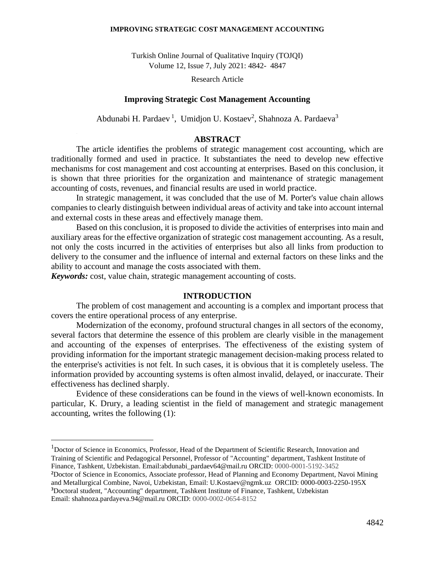#### **IMPROVING STRATEGIC COST MANAGEMENT ACCOUNTING**

Turkish Online Journal of Qualitative Inquiry (TOJQI) Volume 12, Issue 7, July 2021: 4842- 4847

Research Article

### **Improving Strategic Cost Management Accounting**

Abdunabi H. Pardaev<sup>1</sup>, Umidjon U. Kostaev<sup>2</sup>, Shahnoza A. Pardaeva<sup>3</sup>

### **ABSTRACT**

The article identifies the problems of strategic management cost accounting, which are traditionally formed and used in practice. It substantiates the need to develop new effective mechanisms for cost management and cost accounting at enterprises. Based on this conclusion, it is shown that three priorities for the organization and maintenance of strategic management accounting of costs, revenues, and financial results are used in world practice.

In strategic management, it was concluded that the use of M. Porter's value chain allows companies to clearly distinguish between individual areas of activity and take into account internal and external costs in these areas and effectively manage them.

Based on this conclusion, it is proposed to divide the activities of enterprises into main and auxiliary areas for the effective organization of strategic cost management accounting. As a result, not only the costs incurred in the activities of enterprises but also all links from production to delivery to the consumer and the influence of internal and external factors on these links and the ability to account and manage the costs associated with them.

*Keywords:* cost, value chain, strategic management accounting of costs.

### **INTRODUCTION**

The problem of cost management and accounting is a complex and important process that covers the entire operational process of any enterprise.

Modernization of the economy, profound structural changes in all sectors of the economy, several factors that determine the essence of this problem are clearly visible in the management and accounting of the expenses of enterprises. The effectiveness of the existing system of providing information for the important strategic management decision-making process related to the enterprise's activities is not felt. In such cases, it is obvious that it is completely useless. The information provided by accounting systems is often almost invalid, delayed, or inaccurate. Their effectiveness has declined sharply.

Evidence of these considerations can be found in the views of well-known economists. In particular, K. Drury, a leading scientist in the field of management and strategic management accounting, writes the following (1):

4842

<sup>1</sup>Doctor of Science in Economics, Professor, Head of the Department of Scientific Research, Innovation and Training of Scientific and Pedagogical Personnel, Professor of "Accounting" department, Tashkent Institute of Finance, Tashkent, Uzbekistan. Email[:abdunabi\\_pardaev64@mail.ru](mailto:abdunabi_pardaev64@mail.ru) ORCID: 0000-0001-5192-3452

**<sup>2</sup>**Doctor of Science in Economics, Associate professor, Head of Planning and Economy Department, Navoi Mining and Metallurgical Combine, Navoi, Uzbekistan, Email[: U.Kostaev@ngmk.uz](mailto:U.Kostaev@ngmk.uz) ORCID: 0000-0003-2250-195X **<sup>3</sup>**Doctoral student, "Accounting" department, Tashkent Institute of Finance, Tashkent, Uzbekistan Email: [shahnoza.pardayeva.94@mail.ru](mailto:shahnoza.pardayeva.94@mail.ru) ORCID: 0000-0002-0654-8152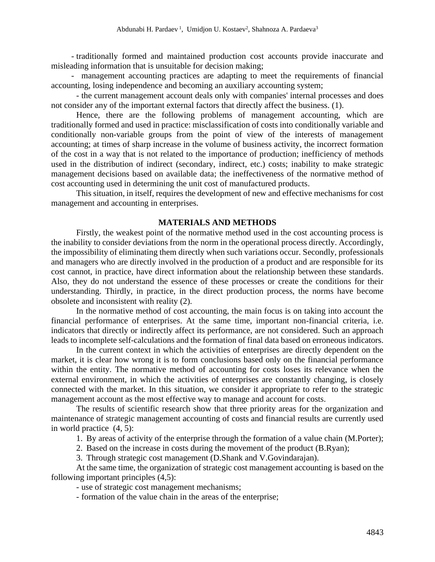- traditionally formed and maintained production cost accounts provide inaccurate and misleading information that is unsuitable for decision making;

- management accounting practices are adapting to meet the requirements of financial accounting, losing independence and becoming an auxiliary accounting system;

- the current management account deals only with companies' internal processes and does not consider any of the important external factors that directly affect the business. (1).

Hence, there are the following problems of management accounting, which are traditionally formed and used in practice: misclassification of costs into conditionally variable and conditionally non-variable groups from the point of view of the interests of management accounting; at times of sharp increase in the volume of business activity, the incorrect formation of the cost in a way that is not related to the importance of production; inefficiency of methods used in the distribution of indirect (secondary, indirect, etc.) costs; inability to make strategic management decisions based on available data; the ineffectiveness of the normative method of cost accounting used in determining the unit cost of manufactured products.

This situation, in itself, requires the development of new and effective mechanisms for cost management and accounting in enterprises.

# **MATERIALS AND METHODS**

Firstly, the weakest point of the normative method used in the cost accounting process is the inability to consider deviations from the norm in the operational process directly. Accordingly, the impossibility of eliminating them directly when such variations occur. Secondly, professionals and managers who are directly involved in the production of a product and are responsible for its cost cannot, in practice, have direct information about the relationship between these standards. Also, they do not understand the essence of these processes or create the conditions for their understanding. Thirdly, in practice, in the direct production process, the norms have become obsolete and inconsistent with reality (2).

In the normative method of cost accounting, the main focus is on taking into account the financial performance of enterprises. At the same time, important non-financial criteria, i.e. indicators that directly or indirectly affect its performance, are not considered. Such an approach leads to incomplete self-calculations and the formation of final data based on erroneous indicators.

In the current context in which the activities of enterprises are directly dependent on the market, it is clear how wrong it is to form conclusions based only on the financial performance within the entity. The normative method of accounting for costs loses its relevance when the external environment, in which the activities of enterprises are constantly changing, is closely connected with the market. In this situation, we consider it appropriate to refer to the strategic management account as the most effective way to manage and account for costs.

The results of scientific research show that three priority areas for the organization and maintenance of strategic management accounting of costs and financial results are currently used in world practice (4, 5):

1. By areas of activity of the enterprise through the formation of a value chain (M.Porter);

2. Based on the increase in costs during the movement of the product (B.Ryan);

3. Through strategic cost management (D.Shank and V.Govindarajan).

At the same time, the organization of strategic cost management accounting is based on the following important principles (4,5):

- use of strategic cost management mechanisms;

- formation of the value chain in the areas of the enterprise;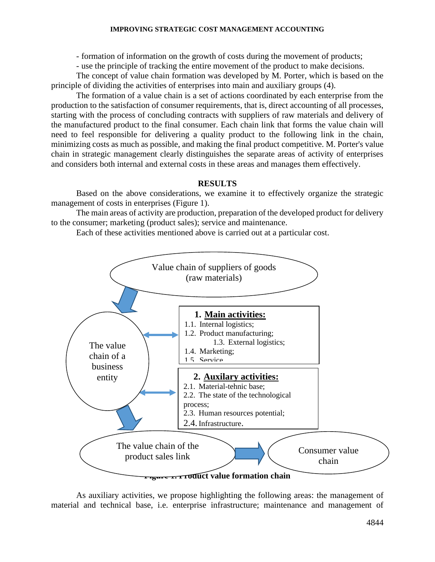### **IMPROVING STRATEGIC COST MANAGEMENT ACCOUNTING**

- formation of information on the growth of costs during the movement of products;

- use the principle of tracking the entire movement of the product to make decisions.

The concept of value chain formation was developed by M. Porter, which is based on the principle of dividing the activities of enterprises into main and auxiliary groups (4).

The formation of a value chain is a set of actions coordinated by each enterprise from the production to the satisfaction of consumer requirements, that is, direct accounting of all processes, starting with the process of concluding contracts with suppliers of raw materials and delivery of the manufactured product to the final consumer. Each chain link that forms the value chain will need to feel responsible for delivering a quality product to the following link in the chain, minimizing costs as much as possible, and making the final product competitive. M. Porter's value chain in strategic management clearly distinguishes the separate areas of activity of enterprises and considers both internal and external costs in these areas and manages them effectively.

# **RESULTS**

Based on the above considerations, we examine it to effectively organize the strategic management of costs in enterprises (Figure 1).

The main areas of activity are production, preparation of the developed product for delivery to the consumer; marketing (product sales); service and maintenance.

Each of these activities mentioned above is carried out at a particular cost.



As auxiliary activities, we propose highlighting the following areas: the management of material and technical base, i.e. enterprise infrastructure; maintenance and management of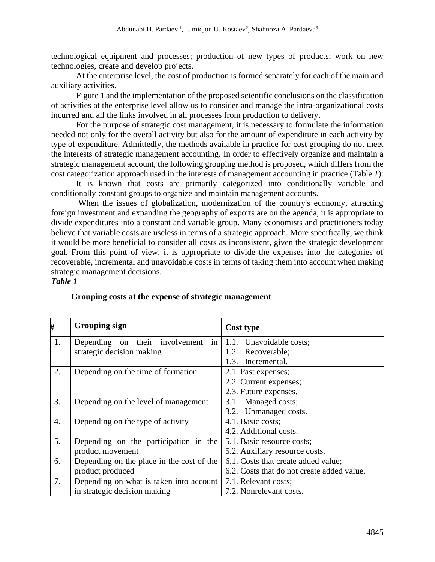technological equipment and processes; production of new types of products; work on new technologies, create and develop projects.

At the enterprise level, the cost of production is formed separately for each of the main and auxiliary activities.

Figure 1 and the implementation of the proposed scientific conclusions on the classification of activities at the enterprise level allow us to consider and manage the intra-organizational costs incurred and all the links involved in all processes from production to delivery.

For the purpose of strategic cost management, it is necessary to formulate the information needed not only for the overall activity but also for the amount of expenditure in each activity by type of expenditure. Admittedly, the methods available in practice for cost grouping do not meet the interests of strategic management accounting. In order to effectively organize and maintain a strategic management account, the following grouping method is proposed, which differs from the cost categorization approach used in the interests of management accounting in practice (Table *1*):

It is known that costs are primarily categorized into conditionally variable and conditionally constant groups to organize and maintain management accounts.

When the issues of globalization, modernization of the country's economy, attracting foreign investment and expanding the geography of exports are on the agenda, it is appropriate to divide expenditures into a constant and variable group. Many economists and practitioners today believe that variable costs are useless in terms of a strategic approach. More specifically, we think it would be more beneficial to consider all costs as inconsistent, given the strategic development goal. From this point of view, it is appropriate to divide the expenses into the categories of recoverable, incremental and unavoidable costs in terms of taking them into account when making strategic management decisions.

### *Table 1*

| #                | <b>Grouping sign</b>                      | Cost type                                  |
|------------------|-------------------------------------------|--------------------------------------------|
| 1.               | in<br>Depending on their involvement      | 1.1. Unavoidable costs;                    |
|                  | strategic decision making                 | Recoverable;<br>1.2.                       |
|                  |                                           | Incremental.<br>1.3.                       |
| 2.               | Depending on the time of formation        | 2.1. Past expenses;                        |
|                  |                                           | 2.2. Current expenses;                     |
|                  |                                           | 2.3. Future expenses.                      |
| 3.               | Depending on the level of management      | 3.1. Managed costs;                        |
|                  |                                           | 3.2. Unmanaged costs.                      |
| $\overline{4}$ . | Depending on the type of activity         | 4.1. Basic costs;                          |
|                  |                                           | 4.2. Additional costs.                     |
| 5.               | Depending on the participation in the     | 5.1. Basic resource costs;                 |
|                  | product movement                          | 5.2. Auxiliary resource costs.             |
| 6.               | Depending on the place in the cost of the | 6.1. Costs that create added value;        |
|                  | product produced                          | 6.2. Costs that do not create added value. |
| 7.               | Depending on what is taken into account   | 7.1. Relevant costs;                       |
|                  | in strategic decision making              | 7.2. Nonrelevant costs.                    |

## **Grouping costs at the expense of strategic management**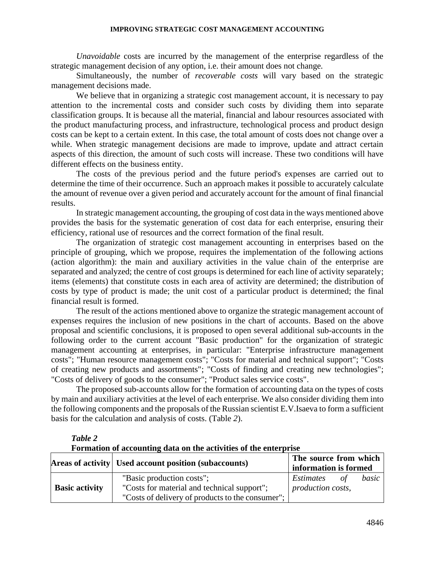#### **IMPROVING STRATEGIC COST MANAGEMENT ACCOUNTING**

*Unavoidable* costs are incurred by the management of the enterprise regardless of the strategic management decision of any option, i.e. their amount does not change*.*

Simultaneously, the number of *recoverable costs* will vary based on the strategic management decisions made.

We believe that in organizing a strategic cost management account, it is necessary to pay attention to the incremental costs and consider such costs by dividing them into separate classification groups. It is because all the material, financial and labour resources associated with the product manufacturing process, and infrastructure, technological process and product design costs can be kept to a certain extent. In this case, the total amount of costs does not change over a while. When strategic management decisions are made to improve, update and attract certain aspects of this direction, the amount of such costs will increase. These two conditions will have different effects on the business entity.

The costs of the previous period and the future period's expenses are carried out to determine the time of their occurrence. Such an approach makes it possible to accurately calculate the amount of revenue over a given period and accurately account for the amount of final financial results.

In strategic management accounting, the grouping of cost data in the ways mentioned above provides the basis for the systematic generation of cost data for each enterprise, ensuring their efficiency, rational use of resources and the correct formation of the final result.

The organization of strategic cost management accounting in enterprises based on the principle of grouping, which we propose, requires the implementation of the following actions (action algorithm): the main and auxiliary activities in the value chain of the enterprise are separated and analyzed; the centre of cost groups is determined for each line of activity separately; items (elements) that constitute costs in each area of activity are determined; the distribution of costs by type of product is made; the unit cost of a particular product is determined; the final financial result is formed.

The result of the actions mentioned above to organize the strategic management account of expenses requires the inclusion of new positions in the chart of accounts. Based on the above proposal and scientific conclusions, it is proposed to open several additional sub-accounts in the following order to the current account "Basic production" for the organization of strategic management accounting at enterprises, in particular: "Enterprise infrastructure management costs"; "Human resource management costs"; "Costs for material and technical support"; "Costs of creating new products and assortments"; "Costs of finding and creating new technologies"; "Costs of delivery of goods to the consumer"; "Product sales service costs".

The proposed sub-accounts allow for the formation of accounting data on the types of costs by main and auxiliary activities at the level of each enterprise. We also consider dividing them into the following components and the proposals of the Russian scientist E.V.Isaeva to form a sufficient basis for the calculation and analysis of costs. (Table *2*).

|                       | Areas of activity Used account position (subaccounts) | The source from which<br>information is formed |    |       |
|-----------------------|-------------------------------------------------------|------------------------------------------------|----|-------|
|                       | "Basic production costs";                             | Estimates                                      | of | basic |
| <b>Basic activity</b> | "Costs for material and technical support";           | production costs,                              |    |       |
|                       | "Costs of delivery of products to the consumer";      |                                                |    |       |

## *Table 2*

**Formation of accounting data on the activities of the enterprise**